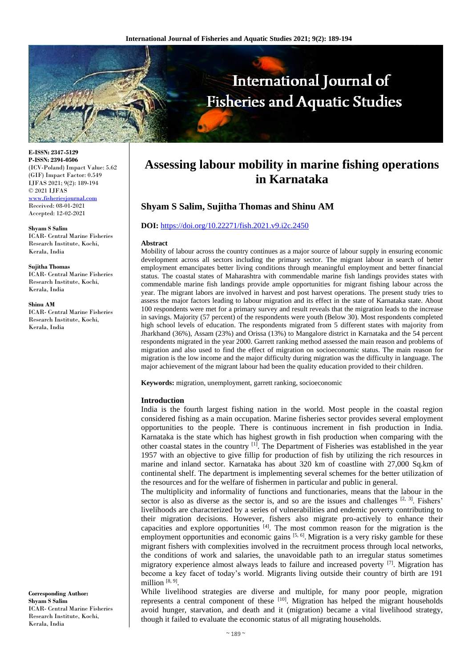

**E-ISSN: 2347-5129 P-ISSN: 2394-0506** (ICV-Poland) Impact Value: 5.62 (GIF) Impact Factor: 0.549 IJFAS 2021; 9(2): 189-194 © 2021 IJFAS <www.fisheriesjournal.com> Received: 08-01-2021 Accepted: 12-02-2021

**Shyam S Salim** ICAR- Central Marine Fisheries Research Institute, Kochi, Kerala, India

**Sujitha Thomas** ICAR- Central Marine Fisheries Research Institute, Kochi, Kerala, India

**Shinu AM**

ICAR- Central Marine Fisheries Research Institute, Kochi, Kerala, India

**Assessing labour mobility in marine fishing operations in Karnataka**

# **Shyam S Salim, Sujitha Thomas and Shinu AM**

#### **DOI:** <https://doi.org/10.22271/fish.2021.v9.i2c.2450>

#### **Abstract**

Mobility of labour across the country continues as a major source of labour supply in ensuring economic development across all sectors including the primary sector. The migrant labour in search of better employment emancipates better living conditions through meaningful employment and better financial status. The coastal states of Maharashtra with commendable marine fish landings provides states with commendable marine fish landings provide ample opportunities for migrant fishing labour across the year. The migrant labors are involved in harvest and post harvest operations. The present study tries to assess the major factors leading to labour migration and its effect in the state of Karnataka state. About 100 respondents were met for a primary survey and result reveals that the migration leads to the increase in savings. Majority (57 percent) of the respondents were youth (Below 30). Most respondents completed high school levels of education. The respondents migrated from 5 different states with majority from Jharkhand (36%), Assam (23%) and Orissa (13%) to Mangalore district in Karnataka and the 54 percent respondents migrated in the year 2000. Garrett ranking method assessed the main reason and problems of migration and also used to find the effect of migration on socioeconomic status. The main reason for migration is the low income and the major difficulty during migration was the difficulty in language. The major achievement of the migrant labour had been the quality education provided to their children.

**Keywords:** migration, unemployment, garrett ranking, socioeconomic

### **Introduction**

India is the fourth largest fishing nation in the world. Most people in the coastal region considered fishing as a main occupation. Marine fisheries sector provides several employment opportunities to the people. There is continuous increment in fish production in India. Karnataka is the state which has highest growth in fish production when comparing with the other coastal states in the country <sup>[1]</sup>. The Department of Fisheries was established in the year 1957 with an objective to give fillip for production of fish by utilizing the rich resources in marine and inland sector. Karnataka has about 320 km of coastline with 27,000 Sq.km of continental shelf. The department is implementing several schemes for the better utilization of the resources and for the welfare of fishermen in particular and public in general.

The multiplicity and informality of functions and functionaries, means that the labour in the sector is also as diverse as the sector is, and so are the issues and challenges  $[2, 3]$ . Fishers' livelihoods are characterized by a series of vulnerabilities and endemic poverty contributing to their migration decisions. However, fishers also migrate pro-actively to enhance their capacities and explore opportunities [4] . The most common reason for the migration is the employment opportunities and economic gains  $[5, 6]$ . Migration is a very risky gamble for these migrant fishers with complexities involved in the recruitment process through local networks, the conditions of work and salaries, the unavoidable path to an irregular status sometimes migratory experience almost always leads to failure and increased poverty  $^{[7]}$ . Migration has become a key facet of today's world. Migrants living outside their country of birth are 191 million<sup>[8, 9]</sup>.

While livelihood strategies are diverse and multiple, for many poor people, migration represents a central component of these  $[10]$ . Migration has helped the migrant households avoid hunger, starvation, and death and it (migration) became a vital livelihood strategy, though it failed to evaluate the economic status of all migrating households.

**Corresponding Author: Shyam S Salim** ICAR- Central Marine Fisheries Research Institute, Kochi, Kerala, India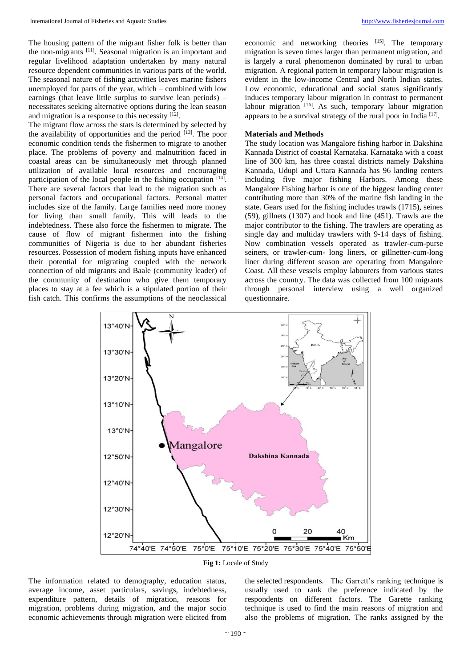The housing pattern of the migrant fisher folk is better than the non-migrants [11]. Seasonal migration is an important and regular livelihood adaptation undertaken by many natural resource dependent communities in various parts of the world. The seasonal nature of fishing activities leaves marine fishers unemployed for parts of the year, which – combined with low

earnings (that leave little surplus to survive lean periods) – necessitates seeking alternative options during the lean season

and migration is a response to this necessity [12]. The migrant flow across the stats is determined by selected by the availability of opportunities and the period  $[13]$ . The poor economic condition tends the fishermen to migrate to another place. The problems of poverty and malnutrition faced in coastal areas can be simultaneously met through planned utilization of available local resources and encouraging participation of the local people in the fishing occupation [14]. There are several factors that lead to the migration such as personal factors and occupational factors. Personal matter includes size of the family. Large families need more money for living than small family. This will leads to the indebtedness. These also force the fishermen to migrate. The cause of flow of migrant fishermen into the fishing communities of Nigeria is due to her abundant fisheries resources. Possession of modern fishing inputs have enhanced their potential for migrating coupled with the network connection of old migrants and Baale (community leader) of the community of destination who give them temporary places to stay at a fee which is a stipulated portion of their fish catch. This confirms the assumptions of the neoclassical

economic and networking theories [15]. The temporary migration is seven times larger than permanent migration, and is largely a rural phenomenon dominated by rural to urban migration. A regional pattern in temporary labour migration is evident in the low-income Central and North Indian states. Low economic, educational and social status significantly induces temporary labour migration in contrast to permanent labour migration [16]. As such, temporary labour migration appears to be a survival strategy of the rural poor in India [17].

## **Materials and Methods**

The study location was Mangalore fishing harbor in Dakshina Kannada District of coastal Karnataka. Karnataka with a coast line of 300 km, has three coastal districts namely Dakshina Kannada, Udupi and Uttara Kannada has 96 landing centers including five major fishing Harbors. Among these Mangalore Fishing harbor is one of the biggest landing center contributing more than 30% of the marine fish landing in the state. Gears used for the fishing includes trawls (1715), seines (59), gillnets (1307) and hook and line (451). Trawls are the major contributor to the fishing. The trawlers are operating as single day and multiday trawlers with 9-14 days of fishing. Now combination vessels operated as trawler-cum-purse seiners, or trawler-cum- long liners, or gillnetter-cum-long liner during different season are operating from Mangalore Coast. All these vessels employ labourers from various states across the country. The data was collected from 100 migrants through personal interview using a well organized questionnaire.





The information related to demography, education status, average income, asset particulars, savings, indebtedness, expenditure pattern, details of migration, reasons for migration, problems during migration, and the major socio economic achievements through migration were elicited from the selected respondents. The Garrett's ranking technique is usually used to rank the preference indicated by the respondents on different factors. The Garette ranking technique is used to find the main reasons of migration and also the problems of migration. The ranks assigned by the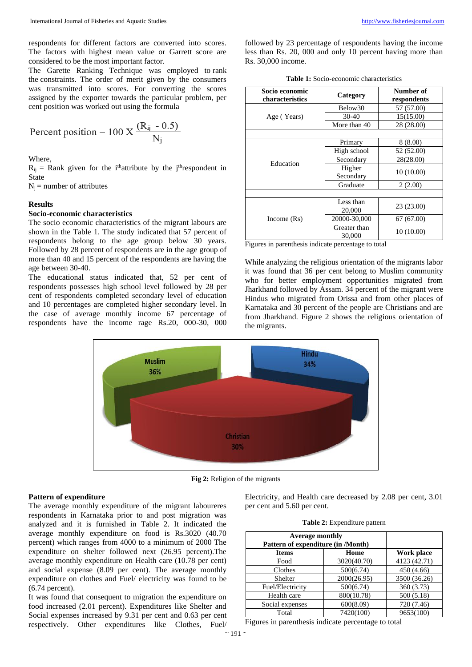respondents for different factors are converted into scores. The factors with highest mean value or Garrett score are considered to be the most important factor.

The Garette Ranking Technique was employed to rank the constraints. The order of merit given by the consumers was transmitted into scores. For converting the scores assigned by the exporter towards the particular problem, per cent position was worked out using the formula

Percent position = 100 X 
$$
\frac{(\text{R}_{ij} - 0.5)}{\text{N}_j}
$$

Where,

 $R_{ij}$  = Rank given for the i<sup>th</sup>attribute by the j<sup>th</sup>respondent in State

 $N_i$  = number of attributes

#### **Results**

## **Socio-economic characteristics**

The socio economic characteristics of the migrant labours are shown in the Table 1. The study indicated that 57 percent of respondents belong to the age group below 30 years. Followed by 28 percent of respondents are in the age group of more than 40 and 15 percent of the respondents are having the age between 30-40.

The educational status indicated that, 52 per cent of respondents possesses high school level followed by 28 per cent of respondents completed secondary level of education and 10 percentages are completed higher secondary level. In the case of average monthly income 67 percentage of respondents have the income rage Rs.20, 000-30, 000 followed by 23 percentage of respondents having the income less than Rs. 20, 000 and only 10 percent having more than Rs. 30,000 income.

|  | <b>Table 1:</b> Socio-economic characteristics |  |  |
|--|------------------------------------------------|--|--|
|--|------------------------------------------------|--|--|

| Socio economic<br>characteristics | Category     | Number of<br>respondents |
|-----------------------------------|--------------|--------------------------|
|                                   | Below30      | 57 (57.00)               |
| Age (Years)                       | $30 - 40$    | 15(15.00)                |
|                                   | More than 40 | 28 (28.00)               |
|                                   |              |                          |
|                                   | Primary      | 8(8.00)                  |
|                                   | High school  | 52 (52.00)               |
| Education                         | Secondary    | 28(28.00)                |
|                                   | Higher       | 10(10.00)                |
|                                   | Secondary    |                          |
|                                   | Graduate     | 2(2.00)                  |
|                                   |              |                          |
|                                   | Less than    | 23 (23.00)               |
|                                   | 20,000       |                          |
| Income $(Rs)$                     | 20000-30,000 | 67 (67.00)               |
|                                   | Greater than | 10 (10.00)               |
|                                   | 30,000       |                          |

Figures in parenthesis indicate percentage to total

While analyzing the religious orientation of the migrants labor it was found that 36 per cent belong to Muslim community who for better employment opportunities migrated from Jharkhand followed by Assam. 34 percent of the migrant were Hindus who migrated from Orissa and from other places of Karnataka and 30 percent of the people are Christians and are from Jharkhand. Figure 2 shows the religious orientation of the migrants.



**Fig 2:** Religion of the migrants

#### **Pattern of expenditure**

The average monthly expenditure of the migrant laboureres respondents in Karnataka prior to and post migration was analyzed and it is furnished in Table 2. It indicated the average monthly expenditure on food is Rs.3020 (40.70 percent) which ranges from 4000 to a minimum of 2000 The expenditure on shelter followed next (26.95 percent).The average monthly expenditure on Health care (10.78 per cent) and social expense (8.09 per cent). The average monthly expenditure on clothes and Fuel/ electricity was found to be (6.74 percent).

It was found that consequent to migration the expenditure on food increased (2.01 percent). Expenditures like Shelter and Social expenses increased by 9.31 per cent and 0.63 per cent respectively. Other expenditures like Clothes, Fuel/ Electricity, and Health care decreased by 2.08 per cent, 3.01 per cent and 5.60 per cent.

|  | Table 2: Expenditure pattern |  |
|--|------------------------------|--|
|--|------------------------------|--|

| <b>Average monthly</b><br>Pattern of expenditure (in /Month) |             |              |
|--------------------------------------------------------------|-------------|--------------|
| <b>Items</b>                                                 | Work place  |              |
| Food                                                         | 3020(40.70) | 4123 (42.71) |
| Clothes                                                      | 500(6.74)   | 450 (4.66)   |
| Shelter                                                      | 2000(26.95) | 3500 (36.26) |
| Fuel/Electricity                                             | 500(6.74)   | 360 (3.73)   |
| Health care                                                  | 800(10.78)  | 500(5.18)    |
| Social expenses                                              | 600(8.09)   | 720 (7.46)   |
| Total                                                        | 7420(100)   | 9653(100)    |

Figures in parenthesis indicate percentage to total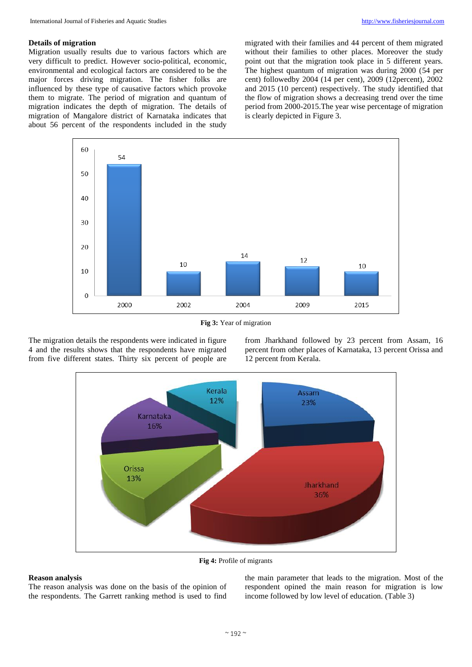### **Details of migration**

Migration usually results due to various factors which are very difficult to predict. However socio-political, economic, environmental and ecological factors are considered to be the major forces driving migration. The fisher folks are influenced by these type of causative factors which provoke them to migrate. The period of migration and quantum of migration indicates the depth of migration. The details of migration of Mangalore district of Karnataka indicates that about 56 percent of the respondents included in the study

migrated with their families and 44 percent of them migrated without their families to other places. Moreover the study point out that the migration took place in 5 different years. The highest quantum of migration was during 2000 (54 per cent) followedby 2004 (14 per cent), 2009 (12percent), 2002 and 2015 (10 percent) respectively. The study identified that the flow of migration shows a decreasing trend over the time period from 2000-2015.The year wise percentage of migration is clearly depicted in Figure 3.



**Fig 3:** Year of migration

The migration details the respondents were indicated in figure 4 and the results shows that the respondents have migrated from five different states. Thirty six percent of people are from Jharkhand followed by 23 percent from Assam, 16 percent from other places of Karnataka, 13 percent Orissa and 12 percent from Kerala.



**Fig 4:** Profile of migrants

## **Reason analysis**

The reason analysis was done on the basis of the opinion of the respondents. The Garrett ranking method is used to find

the main parameter that leads to the migration. Most of the respondent opined the main reason for migration is low income followed by low level of education. (Table 3)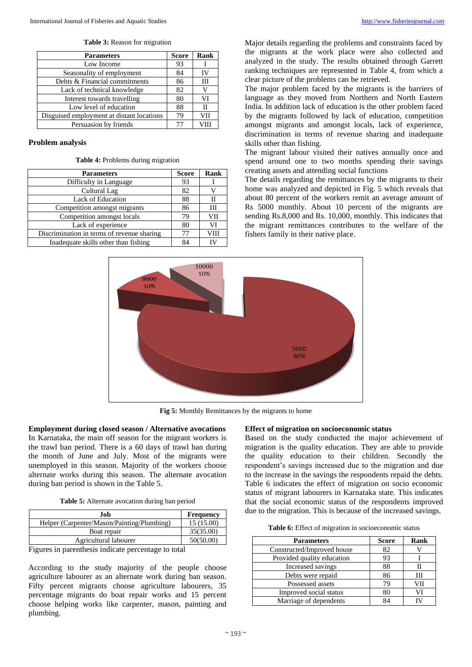| <b>Parameters</b>                         | <b>Score</b> | Rank |
|-------------------------------------------|--------------|------|
| Low Income                                | 93           |      |
| Seasonality of employment                 | 84           | ΙV   |
| Debts & Financial commitments             | 86           | Ш    |
| Lack of technical knowledge               | 82           |      |
| Interest towards travelling               | 80           | VI   |
| Low level of education                    | 88           |      |
| Disguised employment at distant locations | 79           | VII  |
| Persuasion by friends                     |              |      |

## **Problem analysis**

### **Table 4:** Problems during migration

| <b>Parameters</b>                          | <b>Score</b> | Rank |
|--------------------------------------------|--------------|------|
| Difficulty in Language                     | 93           |      |
| Cultural Lag                               | 82           |      |
| Lack of Education                          | 88           |      |
| Competition amongst migrants               | 86           | Ш    |
| Competition amongst locals                 | 79           | VII  |
| Lack of experience                         | 80           |      |
| Discrimination in terms of revenue sharing | 77           | VIII |
| Inadequate skills other than fishing       | 84           |      |

Major details regarding the problems and constraints faced by the migrants at the work place were also collected and analyzed in the study. The results obtained through Garrett ranking techniques are represented in Table 4, from which a clear picture of the problems can be retrieved.

The major problem faced by the migrants is the barriers of language as they moved from Northern and North Eastern India. In addition lack of education is the other problem faced by the migrants followed by lack of education, competition amongst migrants and amongst locals, lack of experience, discrimination in terms of revenue sharing and inadequate skills other than fishing.

The migrant labour visited their natives annually once and spend around one to two months spending their savings creating assets and attending social functions

The details regarding the remittances by the migrants to their home was analyzed and depicted in Fig. 5 which reveals that about 80 percent of the workers remit an average amount of Rs 5000 monthly. About 10 percent of the migrants are sending Rs.8,000 and Rs. 10,000, monthly. This indicates that the migrant remittances contributes to the welfare of the fishers family in their native place.



**Fig 5:** Monthly Remittances by the migrants to home

#### **Employment during closed season / Alternative avocations**

In Karnataka, the main off season for the migrant workers is the trawl ban period. There is a 60 days of trawl ban during the month of June and July. Most of the migrants were unemployed in this season. Majority of the workers choose alternate works during this season. The alternate avocation during ban period is shown in the Table 5.

|  |  | Table 5: Alternate avocation during ban period |  |  |
|--|--|------------------------------------------------|--|--|
|  |  |                                                |  |  |

| .Iob                                       | <b>Frequency</b> |
|--------------------------------------------|------------------|
| Helper (Carpenter/Mason/Painting/Plumbing) | 15(15.00)        |
| Boat repair                                | 35(35.00)        |
| Agricultural labourer                      | 50(50.00)        |

Figures in parenthesis indicate percentage to total

According to the study majority of the people choose agriculture labourer as an alternate work during ban season. Fifty percent migrants choose agriculture labourers, 35 percentage migrants do boat repair works and 15 percent choose helping works like carpenter, mason, painting and plumbing.

## **Effect of migration on socioeconomic status**

Based on the study conducted the major achievement of migration is the quality education. They are able to provide the quality education to their children. Secondly the respondent's savings increased due to the migration and due to the increase in the savings the respondents repaid the debts. Table 6 indicates the effect of migration on socio economic status of migrant labourers in Karnataka state. This indicates that the social economic status of the respondents improved due to the migration. This is because of the increased savings.

|  |  |  | Table 6: Effect of migration in socioeconomic status |  |
|--|--|--|------------------------------------------------------|--|
|  |  |  |                                                      |  |
|  |  |  |                                                      |  |

| <b>Parameters</b>          | <b>Score</b> | Rank |
|----------------------------|--------------|------|
| Constructed/Improved house | 82           |      |
| Provided quality education | 93           |      |
| Increased savings          | 88           |      |
| Debts were repaid          | 86           | Ш    |
| Possessed assets           | 79           | √∐⊥  |
| Improved social status     | 80           | VI   |
| Marriage of dependents     | Q⊿           |      |